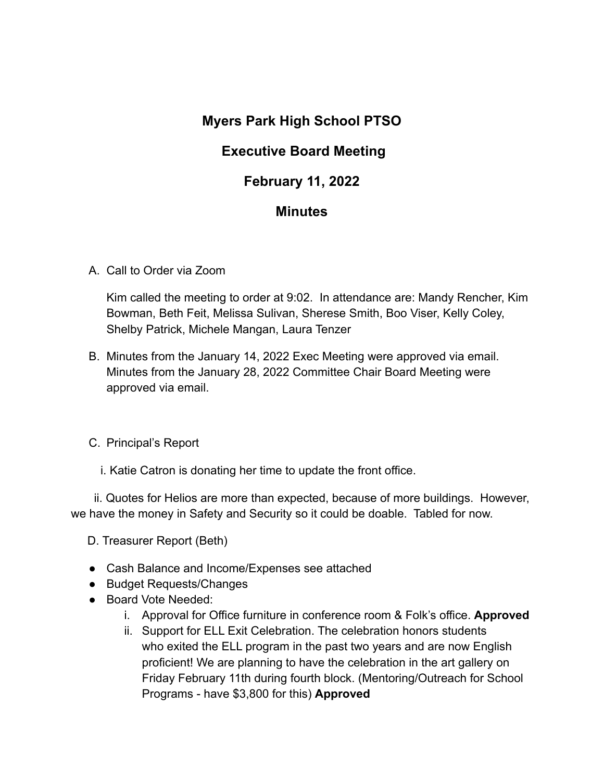# **Myers Park High School PTSO**

## **Executive Board Meeting**

## **February 11, 2022**

## **Minutes**

A. Call to Order via Zoom

Kim called the meeting to order at 9:02. In attendance are: Mandy Rencher, Kim Bowman, Beth Feit, Melissa Sulivan, Sherese Smith, Boo Viser, Kelly Coley, Shelby Patrick, Michele Mangan, Laura Tenzer

B. Minutes from the January 14, 2022 Exec Meeting were approved via email. Minutes from the January 28, 2022 Committee Chair Board Meeting were approved via email.

C. Principal's Report

i. Katie Catron is donating her time to update the front office.

ii. Quotes for Helios are more than expected, because of more buildings. However, we have the money in Safety and Security so it could be doable. Tabled for now.

D. Treasurer Report (Beth)

- Cash Balance and Income/Expenses see attached
- Budget Requests/Changes
- Board Vote Needed:
	- i. Approval for Office furniture in conference room & Folk's office. **Approved**
	- ii. Support for ELL Exit Celebration. The celebration honors students who exited the ELL program in the past two years and are now English proficient! We are planning to have the celebration in the art gallery on Friday February 11th during fourth block. (Mentoring/Outreach for School Programs - have \$3,800 for this) **Approved**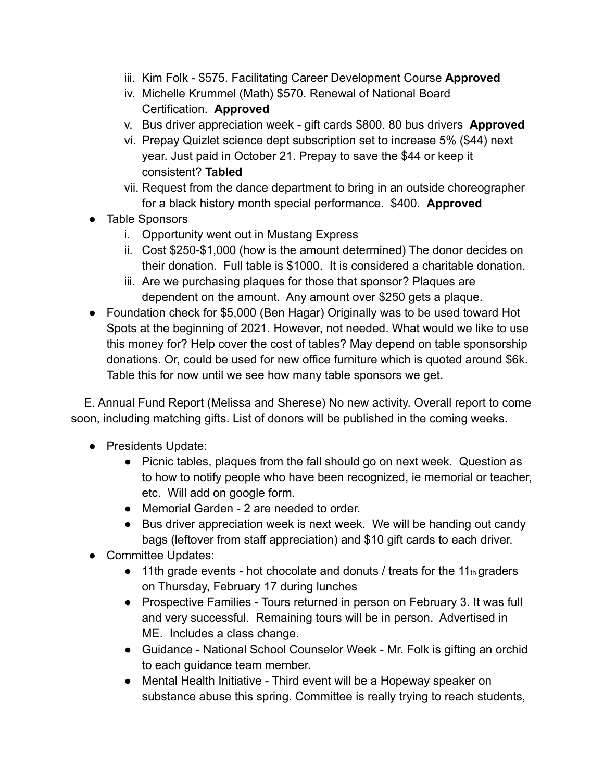- iii. Kim Folk \$575. Facilitating Career Development Course **Approved**
- iv. Michelle Krummel (Math) \$570. Renewal of National Board Certification. **Approved**
- v. Bus driver appreciation week gift cards \$800. 80 bus drivers **Approved**
- vi. Prepay Quizlet science dept subscription set to increase 5% (\$44) next year. Just paid in October 21. Prepay to save the \$44 or keep it consistent? **Tabled**
- vii. Request from the dance department to bring in an outside choreographer for a black history month special performance. \$400. **Approved**
- Table Sponsors
	- i. Opportunity went out in Mustang Express
	- ii. Cost \$250-\$1,000 (how is the amount determined) The donor decides on their donation. Full table is \$1000. It is considered a charitable donation.
	- iii. Are we purchasing plaques for those that sponsor? Plaques are dependent on the amount. Any amount over \$250 gets a plaque.
- Foundation check for \$5,000 (Ben Hagar) Originally was to be used toward Hot Spots at the beginning of 2021. However, not needed. What would we like to use this money for? Help cover the cost of tables? May depend on table sponsorship donations. Or, could be used for new office furniture which is quoted around \$6k. Table this for now until we see how many table sponsors we get.

E. Annual Fund Report (Melissa and Sherese) No new activity. Overall report to come soon, including matching gifts. List of donors will be published in the coming weeks.

- Presidents Update:
	- Picnic tables, plaques from the fall should go on next week. Question as to how to notify people who have been recognized, ie memorial or teacher, etc. Will add on google form.
	- Memorial Garden 2 are needed to order.
	- Bus driver appreciation week is next week. We will be handing out candy bags (leftover from staff appreciation) and \$10 gift cards to each driver.
- Committee Updates:
	- $\bullet$  11th grade events hot chocolate and donuts / treats for the 11th graders on Thursday, February 17 during lunches
	- Prospective Families Tours returned in person on February 3. It was full and very successful. Remaining tours will be in person. Advertised in ME. Includes a class change.
	- Guidance National School Counselor Week Mr. Folk is gifting an orchid to each guidance team member.
	- Mental Health Initiative Third event will be a Hopeway speaker on substance abuse this spring. Committee is really trying to reach students,